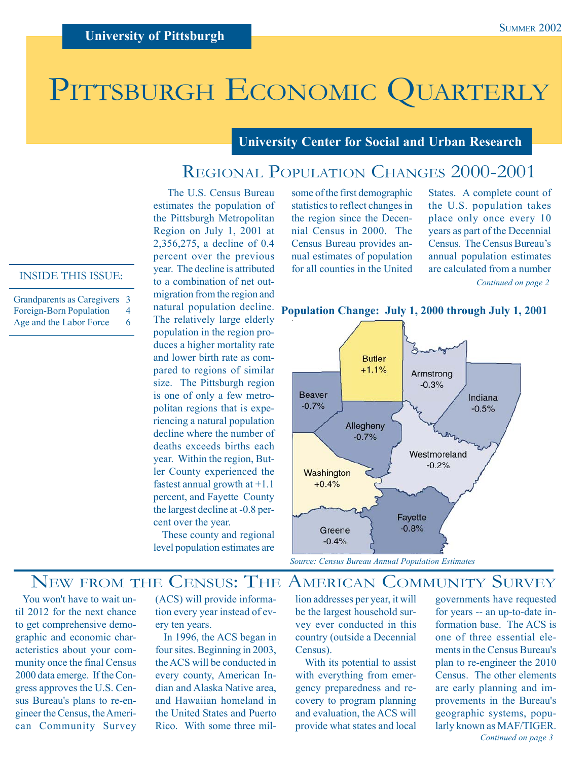# PITTSBURGH ECONOMIC QUARTERLY

## **University Center for Social and Urban Research**

# REGIONAL POPULATION CHANGES 2000-2001

 The U.S. Census Bureau estimates the population of the Pittsburgh Metropolitan Region on July 1, 2001 at 2,356,275, a decline of 0.4 percent over the previous year. The decline is attributed to a combination of net outmigration from the region and natural population decline. The relatively large elderly population in the region produces a higher mortality rate and lower birth rate as compared to regions of similar size. The Pittsburgh region is one of only a few metropolitan regions that is experiencing a natural population decline where the number of deaths exceeds births each year. Within the region, Butler County experienced the fastest annual growth at +1.1 percent, and Fayette County the largest decline at -0.8 percent over the year.

level population estimates are

some of the first demographic statistics to reflect changes in the region since the Decennial Census in 2000. The Census Bureau provides annual estimates of population for all counties in the United

*Continued on page 2* States. A complete count of the U.S. population takes place only once every 10 years as part of the Decennial Census. The Census Bureau's annual population estimates are calculated from a number



#### INSIDE THIS ISSUE:

| Grandparents as Caregivers 3 |   |
|------------------------------|---|
| Foreign-Born Population      | 4 |

Age and the Labor Force 6

These county and regional

# NEW FROM THE CENSUS: THE AMERICAN COMMUNITY SURVEY

 You won't have to wait until 2012 for the next chance to get comprehensive demographic and economic characteristics about your community once the final Census 2000 data emerge. If the Congress approves the U.S. Census Bureau's plans to re-engineer the Census, the American Community Survey (ACS) will provide information every year instead of every ten years.

 In 1996, the ACS began in four sites. Beginning in 2003, the ACS will be conducted in every county, American Indian and Alaska Native area, and Hawaiian homeland in the United States and Puerto Rico. With some three mil-

lion addresses per year, it will be the largest household survey ever conducted in this country (outside a Decennial Census).

 With its potential to assist with everything from emergency preparedness and recovery to program planning and evaluation, the ACS will provide what states and local

governments have requested for years -- an up-to-date information base. The ACS is one of three essential elements in the Census Bureau's plan to re-engineer the 2010 Census. The other elements are early planning and improvements in the Bureau's geographic systems, popularly known as MAF/TIGER. *Continued on page 3*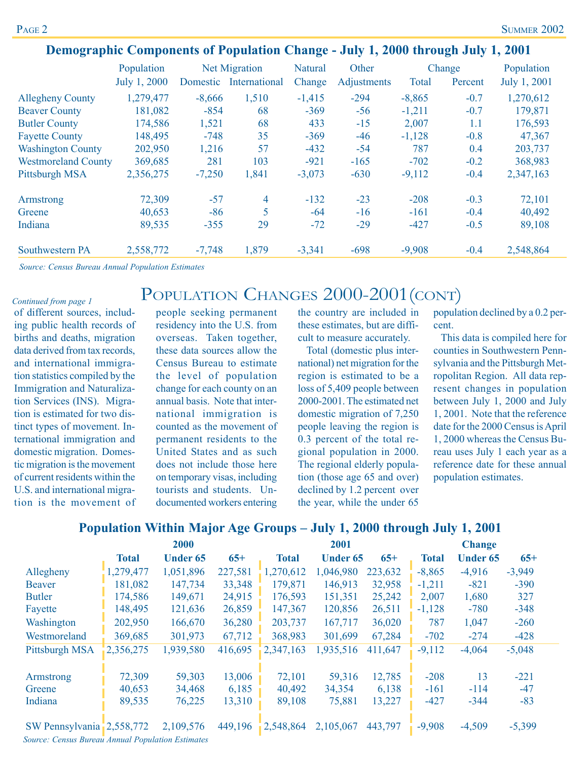|                            | Population   | <b>Net Migration</b> |                | <b>Natural</b> | Other       | Change   |         | Population   |  |
|----------------------------|--------------|----------------------|----------------|----------------|-------------|----------|---------|--------------|--|
|                            | July 1, 2000 | Domestic             | International  | Change         | Adjustments | Total    | Percent | July 1, 2001 |  |
| <b>Allegheny County</b>    | 1,279,477    | $-8,666$             | 1,510          | $-1,415$       | $-294$      | $-8,865$ | $-0.7$  | 1,270,612    |  |
| <b>Beaver County</b>       | 181,082      | $-854$               | 68             | $-369$         | $-56$       | $-1,211$ | $-0.7$  | 179,871      |  |
| <b>Butler County</b>       | 174,586      | 1,521                | 68             | 433            | $-15$       | 2,007    | 1.1     | 176,593      |  |
| <b>Fayette County</b>      | 148,495      | $-748$               | 35             | $-369$         | $-46$       | $-1,128$ | $-0.8$  | 47,367       |  |
| <b>Washington County</b>   | 202,950      | 1,216                | 57             | $-432$         | $-54$       | 787      | 0.4     | 203,737      |  |
| <b>Westmoreland County</b> | 369,685      | 281                  | 103            | $-921$         | $-165$      | $-702$   | $-0.2$  | 368,983      |  |
| Pittsburgh MSA             | 2,356,275    | $-7,250$             | 1,841          | $-3,073$       | $-630$      | $-9,112$ | $-0.4$  | 2,347,163    |  |
| Armstrong                  | 72,309       | $-57$                | $\overline{4}$ | $-132$         | $-23$       | $-208$   | $-0.3$  | 72,101       |  |
| Greene                     | 40,653       | $-86$                | 5              | $-64$          | $-16$       | $-161$   | $-0.4$  | 40,492       |  |
| Indiana                    | 89,535       | $-355$               | 29             | $-72$          | $-29$       | $-427$   | $-0.5$  | 89,108       |  |
| <b>Southwestern PA</b>     | 2,558,772    | $-7,748$             | 1,879          | $-3,341$       | $-698$      | $-9,908$ | $-0.4$  | 2,548,864    |  |

POPULATION CHANGES 2000-2001(CONT)

## **Demographic Components of Population Change - July 1, 2000 through July 1, 2001**

*Source: Census Bureau Annual Population Estimates*

#### *Continued from page 1*

of different sources, including public health records of births and deaths, migration data derived from tax records, and international immigration statistics compiled by the Immigration and Naturalization Services (INS). Migration is estimated for two distinct types of movement. International immigration and domestic migration. Domestic migration is the movement of current residents within the U.S. and international migration is the movement of

people seeking permanent residency into the U.S. from overseas. Taken together, these data sources allow the Census Bureau to estimate the level of population change for each county on an annual basis. Note that international immigration is counted as the movement of permanent residents to the United States and as such does not include those here on temporary visas, including tourists and students. Undocumented workers entering

the country are included in these estimates, but are difficult to measure accurately.

 Total (domestic plus international) net migration for the region is estimated to be a loss of 5,409 people between 2000-2001. The estimated net domestic migration of 7,250 people leaving the region is 0.3 percent of the total regional population in 2000. The regional elderly population (those age 65 and over) declined by 1.2 percent over the year, while the under 65

population declined by a 0.2 percent.

 This data is compiled here for counties in Southwestern Pennsylvania and the Pittsburgh Metropolitan Region. All data represent changes in population between July 1, 2000 and July 1, 2001. Note that the reference date for the 2000 Census is April 1, 2000 whereas the Census Bureau uses July 1 each year as a reference date for these annual population estimates.

## **Population Within Major Age Groups – July 1, 2000 through July 1, 2001**

|                           | 2000         |                 |         |              | 2001            |         | <b>Change</b> |                 |          |
|---------------------------|--------------|-----------------|---------|--------------|-----------------|---------|---------------|-----------------|----------|
|                           | <b>Total</b> | <b>Under 65</b> | $65+$   | <b>Total</b> | <b>Under 65</b> | $65+$   | <b>Total</b>  | <b>Under 65</b> | $65+$    |
| Allegheny                 | 1,279,477    | 1,051,896       | 227,581 | 1,270,612    | 1,046,980       | 223,632 | $-8,865$      | $-4,916$        | $-3,949$ |
| <b>Beaver</b>             | 181,082      | 147,734         | 33,348  | 179,871      | 146,913         | 32,958  | $-1,211$      | $-821$          | $-390$   |
| <b>Butler</b>             | 174,586      | 149,671         | 24,915  | 176,593      | 151,351         | 25,242  | 2,007         | 1,680           | 327      |
| Fayette                   | 148,495      | 121,636         | 26,859  | 147,367      | 120,856         | 26,511  | $-1,128$      | $-780$          | $-348$   |
| Washington                | 202,950      | 166,670         | 36,280  | 203,737      | 167,717         | 36,020  | 787           | 1,047           | $-260$   |
| Westmoreland              | 369,685      | 301,973         | 67,712  | 368,983      | 301,699         | 67,284  | $-702$        | $-274$          | $-428$   |
| Pittsburgh MSA            | 2,356,275    | 1,939,580       | 416,695 | 2,347,163    | 1,935,516       | 411,647 | $-9,112$      | $-4,064$        | $-5,048$ |
| Armstrong                 | 72,309       | 59,303          | 13,006  | 72,101       | 59,316          | 12,785  | $-208$        | 13              | $-221$   |
| Greene                    | 40,653       | 34,468          | 6,185   | 40,492       | 34,354          | 6,138   | $-161$        | $-114$          | $-47$    |
| Indiana                   | 89,535       | 76,225          | 13,310  | 89,108       | 75,881          | 13,227  | $-427$        | $-344$          | $-83$    |
| SW Pennsylvania 2,558,772 |              | 2,109,576       | 449,196 | 2,548,864    | 2,105,067       | 443,797 | $-9,908$      | $-4,509$        | $-5,399$ |

*Source: Census Bureau Annual Population Estimates*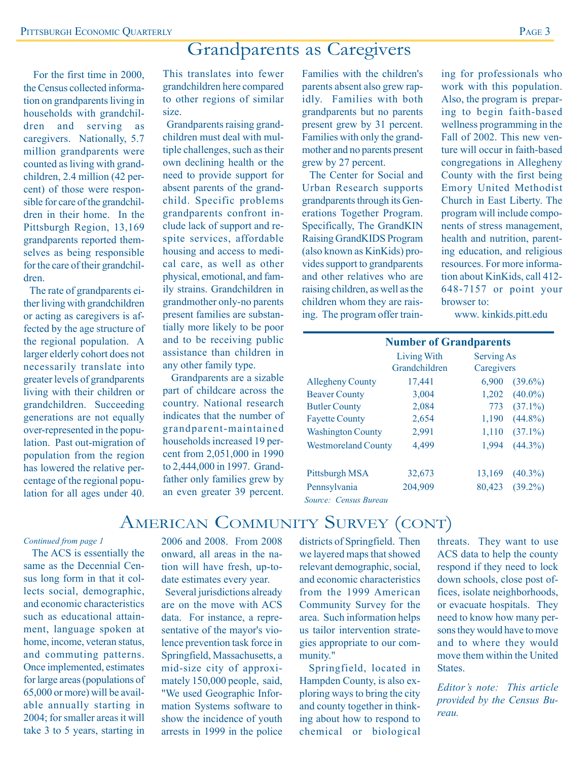# Grandparents as Caregivers

 For the first time in 2000, the Census collected information on grandparents living in households with grandchildren and serving as caregivers. Nationally, 5.7 million grandparents were counted as living with grandchildren, 2.4 million (42 percent) of those were responsible for care of the grandchildren in their home. In the Pittsburgh Region, 13,169 grandparents reported themselves as being responsible for the care of their grandchildren.

 The rate of grandparents either living with grandchildren or acting as caregivers is affected by the age structure of the regional population. A larger elderly cohort does not necessarily translate into greater levels of grandparents living with their children or grandchildren. Succeeding generations are not equally over-represented in the population. Past out-migration of population from the region has lowered the relative percentage of the regional population for all ages under 40.

This translates into fewer grandchildren here compared to other regions of similar size.

 Grandparents raising grandchildren must deal with multiple challenges, such as their own declining health or the need to provide support for absent parents of the grandchild. Specific problems grandparents confront include lack of support and respite services, affordable housing and access to medical care, as well as other physical, emotional, and family strains. Grandchildren in grandmother only-no parents present families are substantially more likely to be poor and to be receiving public assistance than children in any other family type.

 Grandparents are a sizable part of childcare across the country. National research indicates that the number of grandparent-maintained households increased 19 percent from 2,051,000 in 1990 to 2,444,000 in 1997. Grandfather only families grew by an even greater 39 percent.

Families with the children's parents absent also grew rapidly. Families with both grandparents but no parents present grew by 31 percent. Families with only the grandmother and no parents present grew by 27 percent.

 The Center for Social and Urban Research supports grandparents through its Generations Together Program. Specifically, The GrandKIN Raising GrandKIDS Program (also known as KinKids) provides support to grandparents and other relatives who are raising children, as well as the children whom they are raising. The program offer training for professionals who work with this population. Also, the program is preparing to begin faith-based wellness programming in the Fall of 2002. This new venture will occur in faith-based congregations in Allegheny County with the first being Emory United Methodist Church in East Liberty. The program will include components of stress management, health and nutrition, parenting education, and religious resources. For more information about KinKids, call 412- 648-7157 or point your browser to:

www. kinkids.pitt.edu

| <b>Number of Grandparents</b>       |                      |  |  |  |  |  |
|-------------------------------------|----------------------|--|--|--|--|--|
| <b>Living With</b>                  | <b>Serving As</b>    |  |  |  |  |  |
| Grandchildren                       | Caregivers           |  |  |  |  |  |
| 17,441                              | 6,900<br>$(39.6\%)$  |  |  |  |  |  |
| 3,004                               | $(40.0\%)$<br>1,202  |  |  |  |  |  |
| 2,084                               | $(37.1\%)$<br>773    |  |  |  |  |  |
| 2,654                               | $(44.8\%)$<br>1,190  |  |  |  |  |  |
| 2,991                               | 1,110<br>$(37.1\%)$  |  |  |  |  |  |
| 4,499<br><b>Westmoreland County</b> | 1,994<br>$(44.3\%)$  |  |  |  |  |  |
| 32,673                              | 13,169<br>$(40.3\%)$ |  |  |  |  |  |
| 204,909                             | $(39.2\%)$<br>80,423 |  |  |  |  |  |
|                                     |                      |  |  |  |  |  |

*Source: Census Bureau*

# AMERICAN COMMUNITY SURVEY (CONT)

#### *Continued from page 1*

 The ACS is essentially the same as the Decennial Census long form in that it collects social, demographic, and economic characteristics such as educational attainment, language spoken at home, income, veteran status, and commuting patterns. Once implemented, estimates for large areas (populations of 65,000 or more) will be available annually starting in 2004; for smaller areas it will take 3 to 5 years, starting in

2006 and 2008. From 2008 onward, all areas in the nation will have fresh, up-todate estimates every year.

 Several jurisdictions already are on the move with ACS data. For instance, a representative of the mayor's violence prevention task force in Springfield, Massachusetts, a mid-size city of approximately 150,000 people, said, "We used Geographic Information Systems software to show the incidence of youth arrests in 1999 in the police

districts of Springfield. Then we layered maps that showed relevant demographic, social, and economic characteristics from the 1999 American Community Survey for the area. Such information helps us tailor intervention strategies appropriate to our community."

 Springfield, located in Hampden County, is also exploring ways to bring the city and county together in thinking about how to respond to chemical or biological

threats. They want to use ACS data to help the county respond if they need to lock down schools, close post offices, isolate neighborhoods, or evacuate hospitals. They need to know how many persons they would have to move and to where they would move them within the United States.

*Editor's note: This article provided by the Census Bureau.*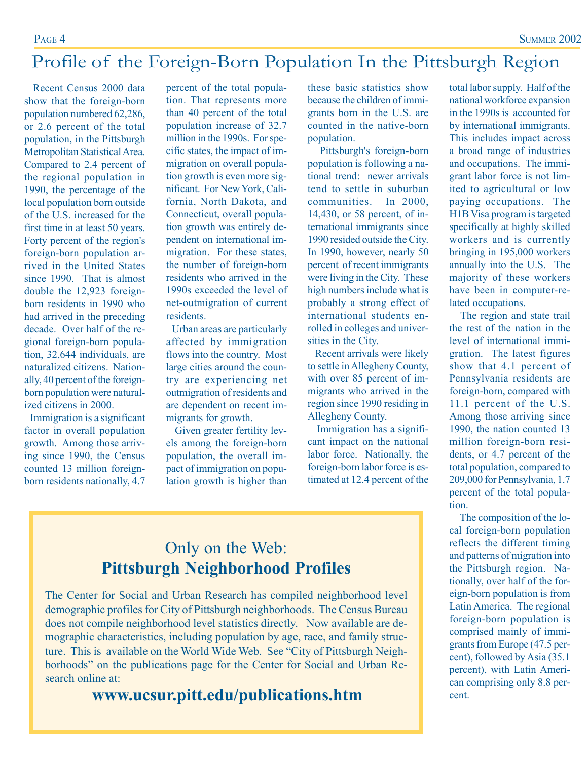# Profile of the Foreign-Born Population In the Pittsburgh Region

 Recent Census 2000 data show that the foreign-born population numbered 62,286, or 2.6 percent of the total population, in the Pittsburgh Metropolitan Statistical Area. Compared to 2.4 percent of the regional population in 1990, the percentage of the local population born outside of the U.S. increased for the first time in at least 50 years. Forty percent of the region's foreign-born population arrived in the United States since 1990. That is almost double the 12,923 foreignborn residents in 1990 who had arrived in the preceding decade. Over half of the regional foreign-born population, 32,644 individuals, are naturalized citizens. Nationally, 40 percent of the foreignborn population were naturalized citizens in 2000.

 Immigration is a significant factor in overall population growth. Among those arriving since 1990, the Census counted 13 million foreignborn residents nationally, 4.7

percent of the total population. That represents more than 40 percent of the total population increase of 32.7 million in the 1990s. For specific states, the impact of immigration on overall population growth is even more significant. For New York, California, North Dakota, and Connecticut, overall population growth was entirely dependent on international immigration. For these states, the number of foreign-born residents who arrived in the 1990s exceeded the level of net-outmigration of current residents.

 Urban areas are particularly affected by immigration flows into the country. Most large cities around the country are experiencing net outmigration of residents and are dependent on recent immigrants for growth.

 Given greater fertility levels among the foreign-born population, the overall impact of immigration on population growth is higher than these basic statistics show because the children of immigrants born in the U.S. are counted in the native-born population.

 Pittsburgh's foreign-born population is following a national trend: newer arrivals tend to settle in suburban communities. In 2000, 14,430, or 58 percent, of international immigrants since 1990 resided outside the City. In 1990, however, nearly 50 percent of recent immigrants were living in the City. These high numbers include what is probably a strong effect of international students enrolled in colleges and universities in the City.

 Recent arrivals were likely to settle in Allegheny County, with over 85 percent of immigrants who arrived in the region since 1990 residing in Allegheny County.

 Immigration has a significant impact on the national labor force. Nationally, the foreign-born labor force is estimated at 12.4 percent of the total labor supply. Half of the national workforce expansion in the 1990s is accounted for by international immigrants. This includes impact across a broad range of industries and occupations. The immigrant labor force is not limited to agricultural or low paying occupations. The H1B Visa program is targeted specifically at highly skilled workers and is currently bringing in 195,000 workers annually into the U.S. The majority of these workers have been in computer-related occupations.

 The region and state trail the rest of the nation in the level of international immigration. The latest figures show that 4.1 percent of Pennsylvania residents are foreign-born, compared with 11.1 percent of the U.S. Among those arriving since 1990, the nation counted 13 million foreign-born residents, or 4.7 percent of the total population, compared to 209,000 for Pennsylvania, 1.7 percent of the total population.

 The composition of the local foreign-born population reflects the different timing and patterns of migration into the Pittsburgh region. Nationally, over half of the foreign-born population is from Latin America. The regional foreign-born population is comprised mainly of immigrants from Europe (47.5 percent), followed by Asia (35.1 percent), with Latin American comprising only 8.8 percent.

# Only on the Web: **Pittsburgh Neighborhood Profiles**

The Center for Social and Urban Research has compiled neighborhood level demographic profiles for City of Pittsburgh neighborhoods. The Census Bureau does not compile neighborhood level statistics directly. Now available are demographic characteristics, including population by age, race, and family structure. This is available on the World Wide Web. See "City of Pittsburgh Neighborhoods" on the publications page for the Center for Social and Urban Research online at:

**www.ucsur.pitt.edu/publications.htm**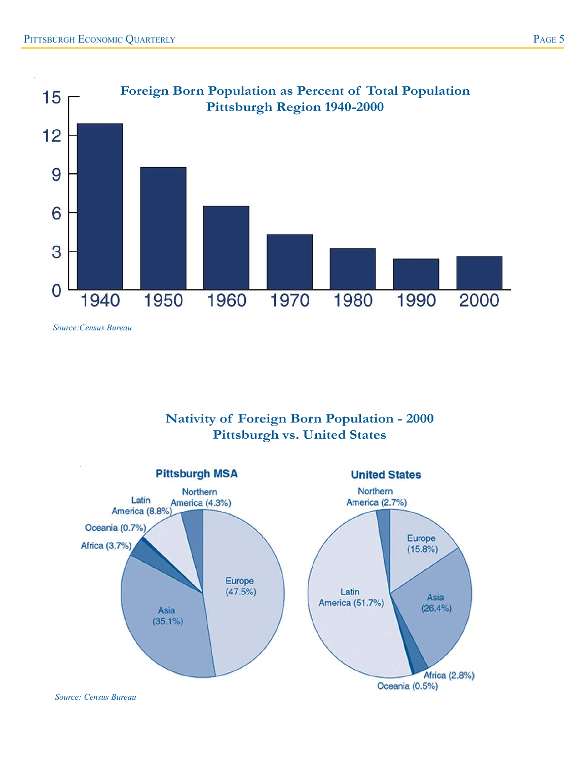

*Source:Census Bureau*

## **Nativity of Foreign Born Population - 2000 Pittsburgh vs. United States**



*Source: Census Bureau*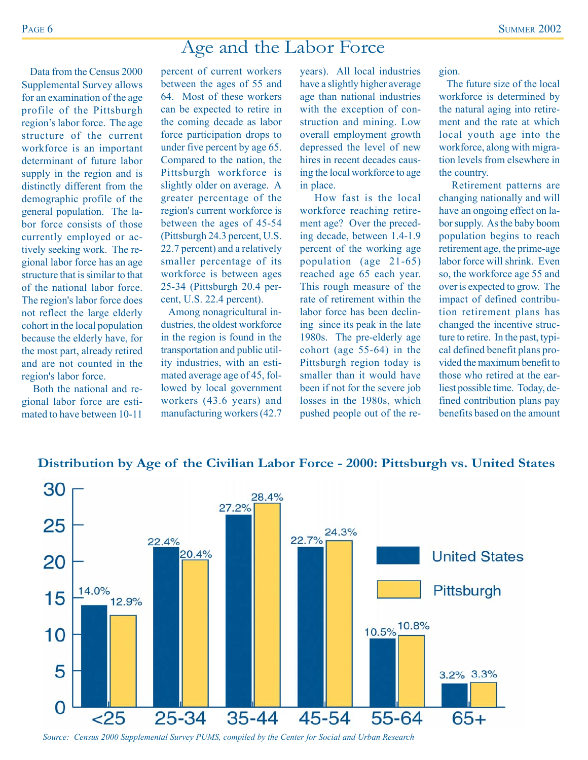# Age and the Labor Force

 Data from the Census 2000 Supplemental Survey allows for an examination of the age profile of the Pittsburgh region's labor force. The age structure of the current workforce is an important determinant of future labor supply in the region and is distinctly different from the demographic profile of the general population. The labor force consists of those currently employed or actively seeking work. The regional labor force has an age structure that is similar to that of the national labor force. The region's labor force does not reflect the large elderly cohort in the local population because the elderly have, for the most part, already retired and are not counted in the region's labor force.

 Both the national and regional labor force are estimated to have between 10-11 percent of current workers between the ages of 55 and 64. Most of these workers can be expected to retire in the coming decade as labor force participation drops to under five percent by age 65. Compared to the nation, the Pittsburgh workforce is slightly older on average. A greater percentage of the region's current workforce is between the ages of 45-54 (Pittsburgh 24.3 percent, U.S. 22.7 percent) and a relatively smaller percentage of its workforce is between ages 25-34 (Pittsburgh 20.4 percent, U.S. 22.4 percent).

 Among nonagricultural industries, the oldest workforce in the region is found in the transportation and public utility industries, with an estimated average age of 45, followed by local government workers (43.6 years) and manufacturing workers (42.7

years). All local industries have a slightly higher average age than national industries with the exception of construction and mining. Low overall employment growth depressed the level of new hires in recent decades causing the local workforce to age in place.

 How fast is the local workforce reaching retirement age? Over the preceding decade, between 1.4-1.9 percent of the working age population (age 21-65) reached age 65 each year. This rough measure of the rate of retirement within the labor force has been declining since its peak in the late 1980s. The pre-elderly age cohort (age 55-64) in the Pittsburgh region today is smaller than it would have been if not for the severe job losses in the 1980s, which pushed people out of the region.

 The future size of the local workforce is determined by the natural aging into retirement and the rate at which local youth age into the workforce, along with migration levels from elsewhere in the country.

 Retirement patterns are changing nationally and will have an ongoing effect on labor supply. As the baby boom population begins to reach retirement age, the prime-age labor force will shrink. Even so, the workforce age 55 and over is expected to grow. The impact of defined contribution retirement plans has changed the incentive structure to retire. In the past, typical defined benefit plans provided the maximum benefit to those who retired at the earliest possible time. Today, defined contribution plans pay benefits based on the amount



## **Distribution by Age of the Civilian Labor Force - 2000: Pittsburgh vs. United States**

*Source: Census 2000 Supplemental Survey PUMS, compiled by the Center for Social and Urban Research*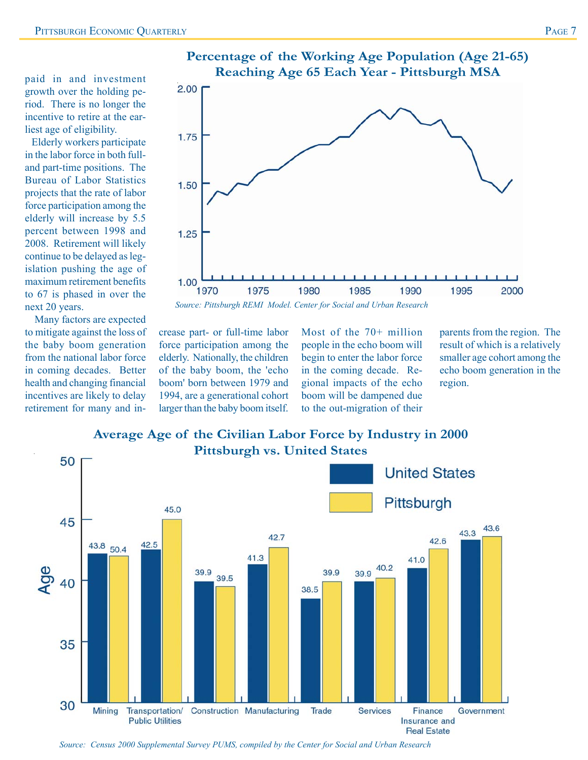paid in and investment growth over the holding period. There is no longer the incentive to retire at the earliest age of eligibility.

 Elderly workers participate in the labor force in both fulland part-time positions. The Bureau of Labor Statistics projects that the rate of labor force participation among the elderly will increase by 5.5 percent between 1998 and 2008. Retirement will likely continue to be delayed as legislation pushing the age of maximum retirement benefits to 67 is phased in over the next 20 years.

 Many factors are expected to mitigate against the loss of the baby boom generation from the national labor force in coming decades. Better health and changing financial incentives are likely to delay retirement for many and in-



crease part- or full-time labor force participation among the elderly. Nationally, the children of the baby boom, the 'echo boom' born between 1979 and 1994, are a generational cohort larger than the baby boom itself.

Most of the 70+ million people in the echo boom will begin to enter the labor force in the coming decade. Regional impacts of the echo boom will be dampened due to the out-migration of their

**Real Estate** 

parents from the region. The result of which is a relatively smaller age cohort among the echo boom generation in the region.



# **Average Age of the Civilian Labor Force by Industry in 2000**

*Source: Census 2000 Supplemental Survey PUMS, compiled by the Center for Social and Urban Research*